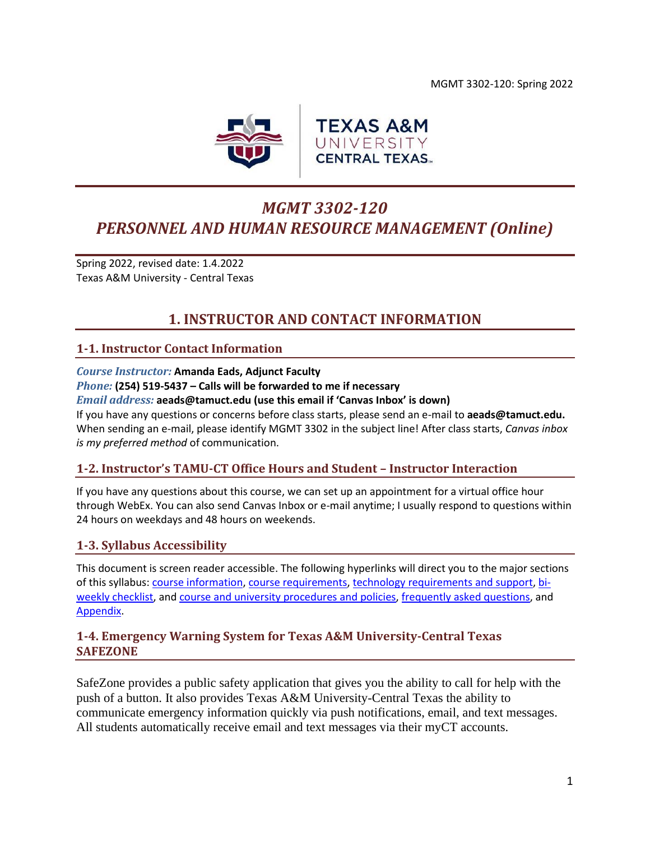

# *MGMT 3302-120 PERSONNEL AND HUMAN RESOURCE MANAGEMENT (Online)*

Spring 2022, revised date: 1.4.2022 Texas A&M University - Central Texas

# **1. INSTRUCTOR AND CONTACT INFORMATION**

### <span id="page-0-0"></span>**1-1. Instructor Contact Information**

#### *Course Instructor:* **Amanda Eads, Adjunct Faculty** *Phone:* **(254) 519-5437 – Calls will be forwarded to me if necessary**

*Email address:* **aeads@tamuct.edu (use this email if 'Canvas Inbox' is down)**

If you have any questions or concerns before class starts, please send an e-mail to **aeads@tamuct.edu.** When sending an e-mail, please identify MGMT 3302 in the subject line! After class starts, *Canvas inbox is my preferred method* of communication.

### **1-2. Instructor's TAMU-CT Office Hours and Student – Instructor Interaction**

If you have any questions about this course, we can set up an appointment for a virtual office hour through WebEx. You can also send Canvas Inbox or e-mail anytime; I usually respond to questions within 24 hours on weekdays and 48 hours on weekends.

### **1-3. Syllabus Accessibility**

This document is screen reader accessible. The following hyperlinks will direct you to the major sections of this syllabus: course [information,](#page-1-0) [course requirements,](#page-3-0) [technology requirements and support,](#page-6-0) [bi](#page-7-0)[weekly checklist,](#page-7-0) and [course and university procedures and policies,](#page-16-0) [frequently asked questions,](#page-19-0) and [Appendix.](#page-21-0)

### **1-4. Emergency Warning System for Texas A&M University-Central Texas SAFEZONE**

SafeZone provides a public safety application that gives you the ability to call for help with the push of a button. It also provides Texas A&M University-Central Texas the ability to communicate emergency information quickly via push notifications, email, and text messages. All students automatically receive email and text messages via their myCT accounts.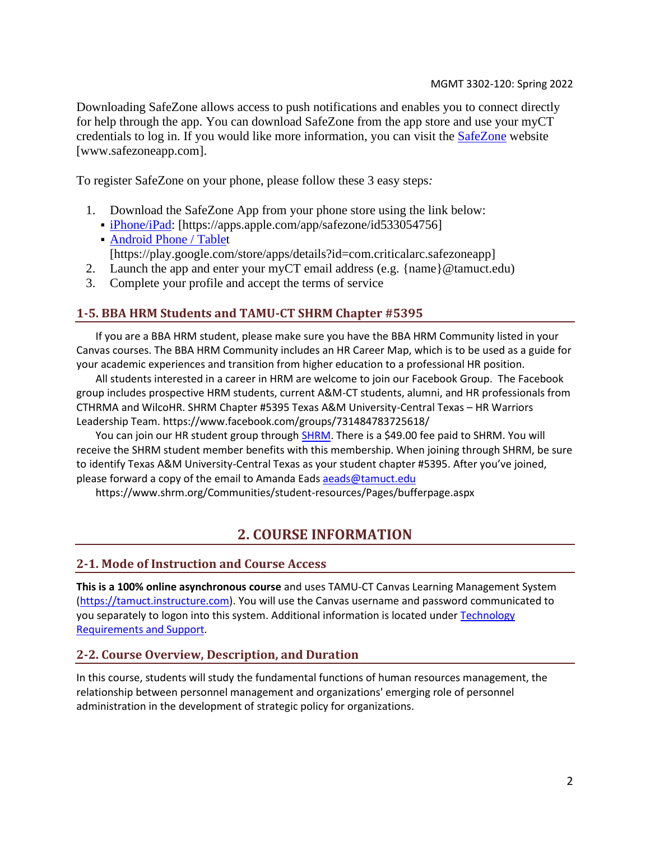Downloading SafeZone allows access to push notifications and enables you to connect directly for help through the app. You can download SafeZone from the app store and use your myCT credentials to log in. If you would like more information, you can visit the [SafeZone](https://nam04.safelinks.protection.outlook.com/?url=http%3A%2F%2Fwww.safezoneapp.com%2F&data=04%7C01%7Caeads%40tamuct.edu%7C7a302a7b83494699b98108d9c3cb82ae%7C9eed4e3000f744849ff193ad8005acec%7C0%7C0%7C637756101106895909%7CUnknown%7CTWFpbGZsb3d8eyJWIjoiMC4wLjAwMDAiLCJQIjoiV2luMzIiLCJBTiI6Ik1haWwiLCJXVCI6Mn0%3D%7C3000&sdata=DEK1kZQXeexSSoMGoIYnlath%2FZEs3ijzUz%2FYwSxQoUg%3D&reserved=0) website [www.safezoneapp.com].

To register SafeZone on your phone, please follow these 3 easy steps*:*

- 1. Download the SafeZone App from your phone store using the link below:
	- [iPhone/iPad:](https://nam04.safelinks.protection.outlook.com/?url=https%3A%2F%2Fapps.apple.com%2Fapp%2Fsafezone%2Fid533054756&data=04%7C01%7Caeads%40tamuct.edu%7C7a302a7b83494699b98108d9c3cb82ae%7C9eed4e3000f744849ff193ad8005acec%7C0%7C0%7C637756101106895909%7CUnknown%7CTWFpbGZsb3d8eyJWIjoiMC4wLjAwMDAiLCJQIjoiV2luMzIiLCJBTiI6Ik1haWwiLCJXVCI6Mn0%3D%7C3000&sdata=4JX7goxBWqoaPw1OMVYVUVTqLMFhoxIzqcMi4boEkI8%3D&reserved=0) [https://apps.apple.com/app/safezone/id533054756] ▪ [Android Phone / Tablet](https://nam04.safelinks.protection.outlook.com/?url=https%3A%2F%2Fplay.google.com%2Fstore%2Fapps%2Fdetails%3Fid%3Dcom.criticalarc.safezoneapp&data=04%7C01%7Caeads%40tamuct.edu%7C7a302a7b83494699b98108d9c3cb82ae%7C9eed4e3000f744849ff193ad8005acec%7C0%7C0%7C637756101106895909%7CUnknown%7CTWFpbGZsb3d8eyJWIjoiMC4wLjAwMDAiLCJQIjoiV2luMzIiLCJBTiI6Ik1haWwiLCJXVCI6Mn0%3D%7C3000&sdata=TPyVd7InRTATj4ecqagnhqkx1gEFMosKzupMnMTN%2FC0%3D&reserved=0)
	- [https://play.google.com/store/apps/details?id=com.criticalarc.safezoneapp]
- 2. Launch the app and enter your myCT email address (e.g.  $\{name\} @ \{ count.edu\}$ )
- 3. Complete your profile and accept the terms of service

### **1-5. BBA HRM Students and TAMU-CT SHRM Chapter #5395**

If you are a BBA HRM student, please make sure you have the BBA HRM Community listed in your Canvas courses. The BBA HRM Community includes an HR Career Map, which is to be used as a guide for your academic experiences and transition from higher education to a professional HR position.

All students interested in a career in HRM are welcome to join our Facebook Group. The Facebook group includes prospective HRM students, current A&M-CT students, alumni, and HR professionals from CTHRMA and WilcoHR. SHRM Chapter #5395 Texas A&M University-Central Texas – HR Warriors Leadership Team. https://www.facebook.com/groups/731484783725618/

You can join our HR student group through [SHRM.](https://www.shrm.org/Communities/student-resources/Pages/bufferpage.aspx) There is a \$49.00 fee paid to SHRM. You will receive the SHRM student member benefits with this membership. When joining through SHRM, be sure to identify Texas A&M University-Central Texas as your student chapter #5395. After you've joined, please forward a copy of the email to Amanda Eads [aeads@tamuct.edu](mailto:aeads@tamuct.edu)

<span id="page-1-0"></span>https://www.shrm.org/Communities/student-resources/Pages/bufferpage.aspx

## **2. COURSE INFORMATION**

### **2-1. Mode of Instruction and Course Access**

**This is a 100% online asynchronous course** and uses TAMU-CT Canvas Learning Management System [\(https://tamuct.instructure.com\)](https://tamuct.instructure.com/). You will use the Canvas username and password communicated to you separately to logon into this system. Additional information is located under [Technology](#page-6-1)  [Requirements and Support.](#page-6-1)

### **2-2. Course Overview, Description, and Duration**

In this course, students will study the fundamental functions of human resources management, the relationship between personnel management and organizations' emerging role of personnel administration in the development of strategic policy for organizations.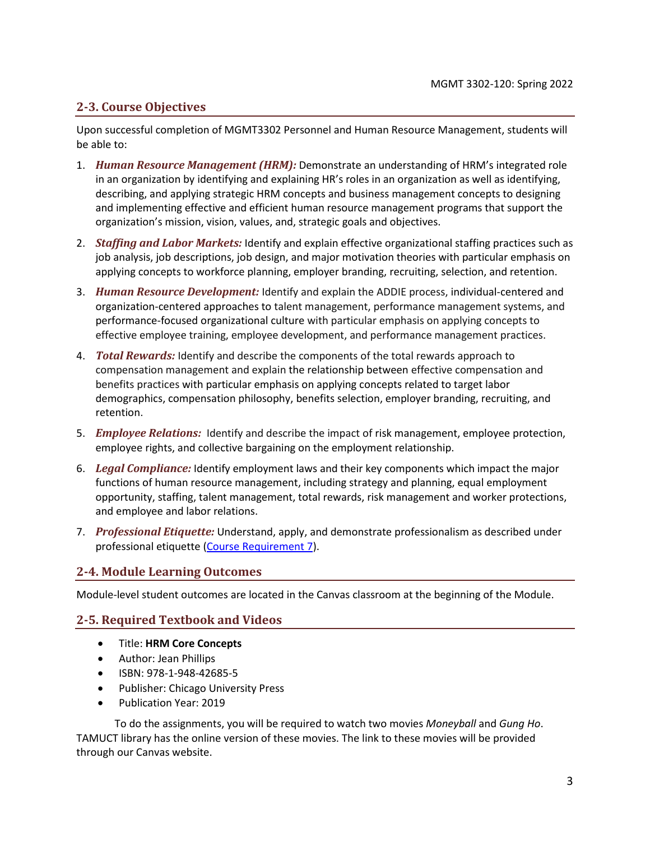### **2-3. Course Objectives**

Upon successful completion of MGMT3302 Personnel and Human Resource Management, students will be able to:

- 1. *Human Resource Management (HRM):* Demonstrate an understanding of HRM's integrated role in an organization by identifying and explaining HR's roles in an organization as well as identifying, describing, and applying strategic HRM concepts and business management concepts to designing and implementing effective and efficient human resource management programs that support the organization's mission, vision, values, and, strategic goals and objectives.
- 2. *Staffing and Labor Markets:* Identify and explain effective organizational staffing practices such as job analysis, job descriptions, job design, and major motivation theories with particular emphasis on applying concepts to workforce planning, employer branding, recruiting, selection, and retention.
- 3. *Human Resource Development:* Identify and explain the ADDIE process, individual-centered and organization-centered approaches to talent management, performance management systems, and performance-focused organizational culture with particular emphasis on applying concepts to effective employee training, employee development, and performance management practices.
- 4. *Total Rewards:* Identify and describe the components of the total rewards approach to compensation management and explain the relationship between effective compensation and benefits practices with particular emphasis on applying concepts related to target labor demographics, compensation philosophy, benefits selection, employer branding, recruiting, and retention.
- 5. *Employee Relations:* Identify and describe the impact of risk management, employee protection, employee rights, and collective bargaining on the employment relationship.
- 6. *Legal Compliance:* Identify employment laws and their key components which impact the major functions of human resource management, including strategy and planning, equal employment opportunity, staffing, talent management, total rewards, risk management and worker protections, and employee and labor relations.
- 7. *Professional Etiquette:* Understand, apply, and demonstrate professionalism as described under professional etiquette [\(Course Requirement 7\)](#page-4-0).

### **2-4. Module Learning Outcomes**

Module-level student outcomes are located in the Canvas classroom at the beginning of the Module.

### **2-5. Required Textbook and Videos**

- Title: **HRM Core Concepts**
- Author: Jean Phillips
- ISBN: 978-1-948-42685-5
- Publisher: Chicago University Press
- Publication Year: 2019

To do the assignments, you will be required to watch two movies *Moneyball* and *Gung Ho*. TAMUCT library has the online version of these movies. The link to these movies will be provided through our Canvas website.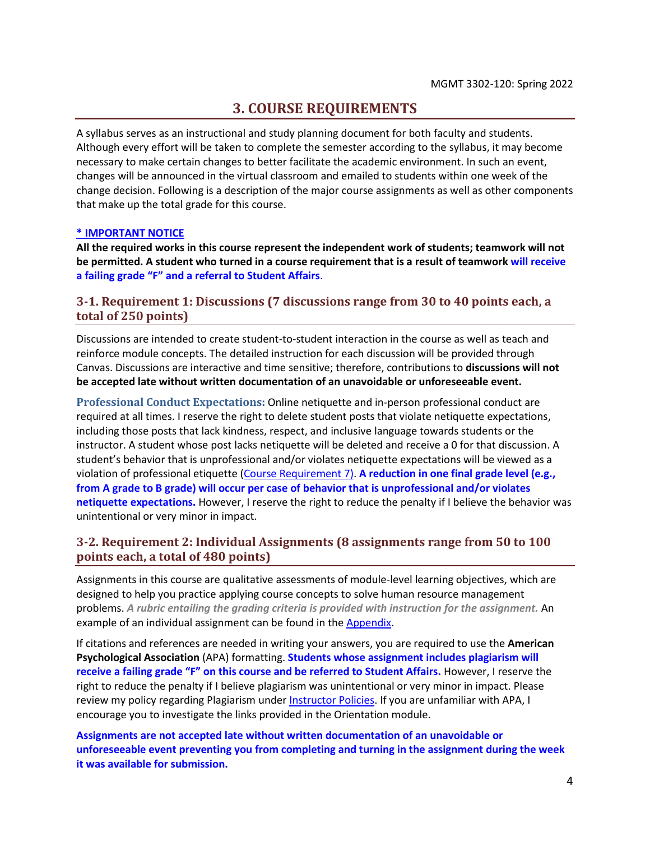### **3. COURSE REQUIREMENTS**

<span id="page-3-0"></span>A syllabus serves as an instructional and study planning document for both faculty and students. Although every effort will be taken to complete the semester according to the syllabus, it may become necessary to make certain changes to better facilitate the academic environment. In such an event, changes will be announced in the virtual classroom and emailed to students within one week of the change decision. Following is a description of the major course assignments as well as other components that make up the total grade for this course.

#### **\* IMPORTANT NOTICE**

**All the required works in this course represent the independent work of students; teamwork will not be permitted. A student who turned in a course requirement that is a result of teamwork will receive a failing grade "F" and a referral to Student Affairs**.

### **3-1. Requirement 1: Discussions (7 discussions range from 30 to 40 points each, a total of 250 points)**

Discussions are intended to create student-to-student interaction in the course as well as teach and reinforce module concepts. The detailed instruction for each discussion will be provided through Canvas. Discussions are interactive and time sensitive; therefore, contributions to **discussions will not be accepted late without written documentation of an unavoidable or unforeseeable event.**

**Professional Conduct Expectations:** Online netiquette and in-person professional conduct are required at all times. I reserve the right to delete student posts that violate netiquette expectations, including those posts that lack kindness, respect, and inclusive language towards students or the instructor. A student whose post lacks netiquette will be deleted and receive a 0 for that discussion. A student's behavior that is unprofessional and/or violates netiquette expectations will be viewed as a violation of professional etiquette [\(Course Requirement 7\)](#page-4-0). **A reduction in one final grade level (e.g., from A grade to B grade) will occur per case of behavior that is unprofessional and/or violates netiquette expectations.** However, I reserve the right to reduce the penalty if I believe the behavior was unintentional or very minor in impact.

### **3-2. Requirement 2: Individual Assignments (8 assignments range from 50 to 100 points each, a total of 480 points)**

Assignments in this course are qualitative assessments of module-level learning objectives, which are designed to help you practice applying course concepts to solve human resource management problems. *A rubric entailing the grading criteria is provided with instruction for the assignment.* An example of an individual assignment can be found in the [Appendix.](#page-21-0)

If citations and references are needed in writing your answers, you are required to use the **American Psychological Association** (APA) formatting. **Students whose assignment includes plagiarism will receive a failing grade "F" on this course and be referred to Student Affairs.** However, I reserve the right to reduce the penalty if I believe plagiarism was unintentional or very minor in impact. Please review my policy regarding Plagiarism unde[r Instructor Policies.](#page-5-0) If you are unfamiliar with APA, I encourage you to investigate the links provided in the Orientation module.

**Assignments are not accepted late without written documentation of an unavoidable or unforeseeable event preventing you from completing and turning in the assignment during the week it was available for submission.**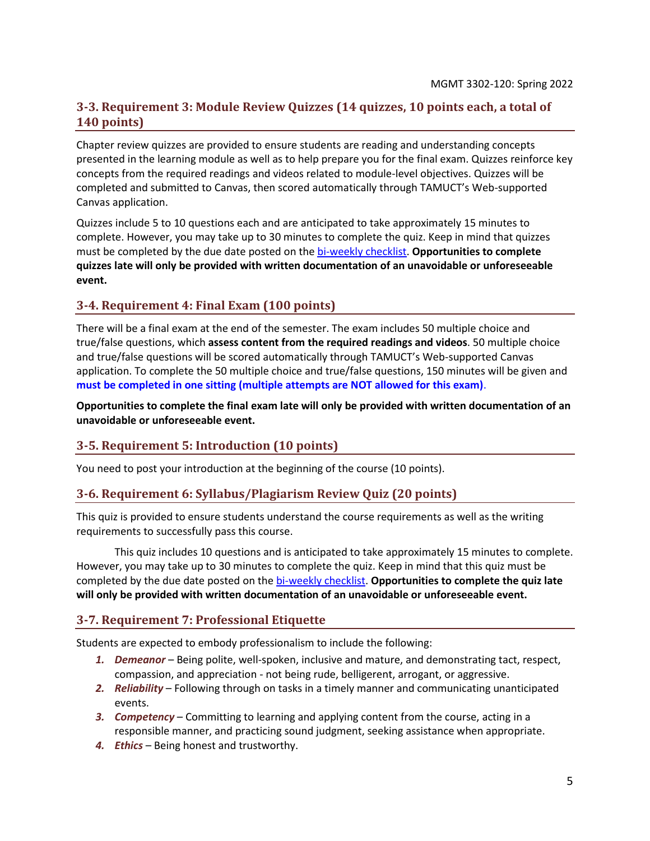### **3-3. Requirement 3: Module Review Quizzes (14 quizzes, 10 points each, a total of 140 points)**

Chapter review quizzes are provided to ensure students are reading and understanding concepts presented in the learning module as well as to help prepare you for the final exam. Quizzes reinforce key concepts from the required readings and videos related to module-level objectives. Quizzes will be completed and submitted to Canvas, then scored automatically through TAMUCT's Web-supported Canvas application.

Quizzes include 5 to 10 questions each and are anticipated to take approximately 15 minutes to complete. However, you may take up to 30 minutes to complete the quiz. Keep in mind that quizzes must be completed by the due date posted on the [bi-weekly checklist.](#page-7-0) **Opportunities to complete quizzes late will only be provided with written documentation of an unavoidable or unforeseeable event.**

### **3-4. Requirement 4: Final Exam (100 points)**

There will be a final exam at the end of the semester. The exam includes 50 multiple choice and true/false questions, which **assess content from the required readings and videos**. 50 multiple choice and true/false questions will be scored automatically through TAMUCT's Web-supported Canvas application. To complete the 50 multiple choice and true/false questions, 150 minutes will be given and **must be completed in one sitting (multiple attempts are NOT allowed for this exam)**.

**Opportunities to complete the final exam late will only be provided with written documentation of an unavoidable or unforeseeable event.**

### **3-5. Requirement 5: Introduction (10 points)**

You need to post your introduction at the beginning of the course (10 points).

### **3-6. Requirement 6: Syllabus/Plagiarism Review Quiz (20 points)**

This quiz is provided to ensure students understand the course requirements as well as the writing requirements to successfully pass this course.

This quiz includes 10 questions and is anticipated to take approximately 15 minutes to complete. However, you may take up to 30 minutes to complete the quiz. Keep in mind that this quiz must be completed by the due date posted on the [bi-weekly checklist.](#page-7-0) **Opportunities to complete the quiz late will only be provided with written documentation of an unavoidable or unforeseeable event.**

### <span id="page-4-0"></span>**3-7. Requirement 7: Professional Etiquette**

Students are expected to embody professionalism to include the following:

- *1. Demeanor* Being polite, well-spoken, inclusive and mature, and demonstrating tact, respect, compassion, and appreciation - not being rude, belligerent, arrogant, or aggressive.
- *2. Reliability* Following through on tasks in a timely manner and communicating unanticipated events.
- *3. Competency* Committing to learning and applying content from the course, acting in a responsible manner, and practicing sound judgment, seeking assistance when appropriate.
- *4. Ethics* Being honest and trustworthy.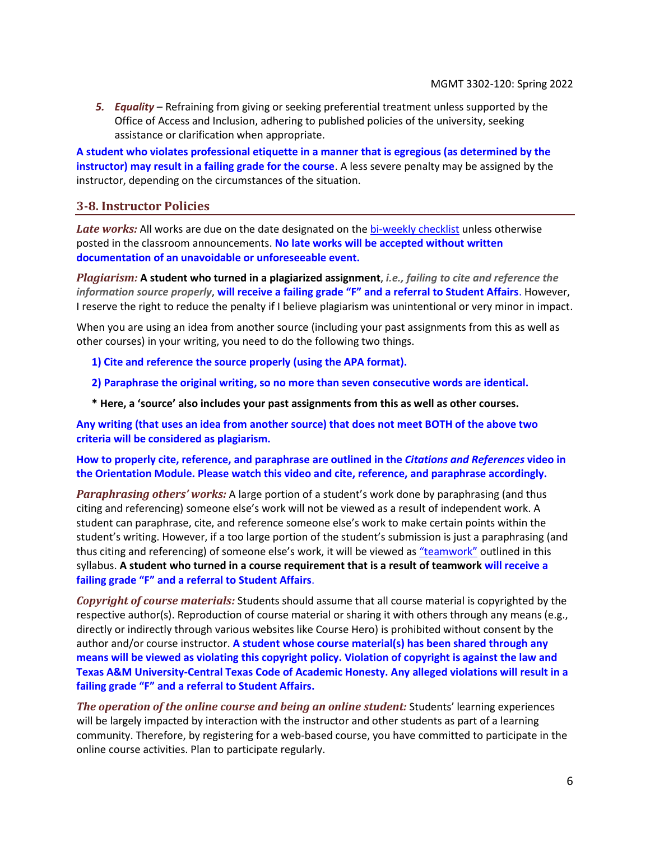*5. Equality* – Refraining from giving or seeking preferential treatment unless supported by the Office of Access and Inclusion, adhering to published policies of the university, seeking assistance or clarification when appropriate.

**A student who violates professional etiquette in a manner that is egregious (as determined by the instructor) may result in a failing grade for the course**. A less severe penalty may be assigned by the instructor, depending on the circumstances of the situation.

### <span id="page-5-0"></span>**3-8. Instructor Policies**

*Late works:* All works are due on the date designated on the [bi-weekly checklist](#page-7-0) unless otherwise posted in the classroom announcements. **No late works will be accepted without written documentation of an unavoidable or unforeseeable event.**

*Plagiarism:* **A student who turned in a plagiarized assignment**, *i.e., failing to cite and reference the information source properly*, **will receive a failing grade "F" and a referral to Student Affairs**. However, I reserve the right to reduce the penalty if I believe plagiarism was unintentional or very minor in impact.

When you are using an idea from another source (including your past assignments from this as well as other courses) in your writing, you need to do the following two things.

- **1) Cite and reference the source properly (using the APA format).**
- **2) Paraphrase the original writing, so no more than seven consecutive words are identical.**
- **\* Here, a 'source' also includes your past assignments from this as well as other courses.**

**Any writing (that uses an idea from another source) that does not meet BOTH of the above two criteria will be considered as plagiarism.**

**How to properly cite, reference, and paraphrase are outlined in the** *Citations and References* **video in the Orientation Module. Please watch this video and cite, reference, and paraphrase accordingly.**

*Paraphrasing others' works:* A large portion of a student's work done by paraphrasing (and thus citing and referencing) someone else's work will not be viewed as a result of independent work. A student can paraphrase, cite, and reference someone else's work to make certain points within the student's writing. However, if a too large portion of the student's submission is just a paraphrasing (and thus citing and referencing) of someone else's work, it will be viewed as ["teamwork"](#page-3-0) outlined in this syllabus. **A student who turned in a course requirement that is a result of teamwork will receive a failing grade "F" and a referral to Student Affairs**.

*Copyright of course materials:* Students should assume that all course material is copyrighted by the respective author(s). Reproduction of course material or sharing it with others through any means (e.g., directly or indirectly through various websites like Course Hero) is prohibited without consent by the author and/or course instructor. **A student whose course material(s) has been shared through any means will be viewed as violating this copyright policy. Violation of copyright is against the law and Texas A&M University-Central Texas Code of Academic Honesty. Any alleged violations will result in a failing grade "F" and a referral to Student Affairs.**

*The operation of the online course and being an online student:* Students' learning experiences will be largely impacted by interaction with the instructor and other students as part of a learning community. Therefore, by registering for a web-based course, you have committed to participate in the online course activities. Plan to participate regularly.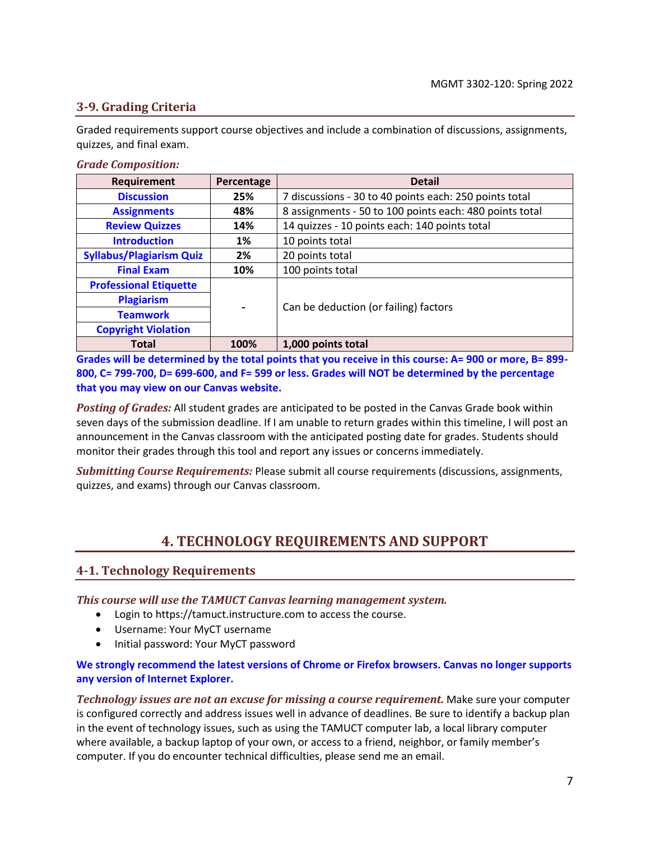### <span id="page-6-2"></span>**3-9. Grading Criteria**

Graded requirements support course objectives and include a combination of discussions, assignments, quizzes, and final exam.

#### *Grade Composition:*

| Requirement                                                     | Percentage | <b>Detail</b>                                           |
|-----------------------------------------------------------------|------------|---------------------------------------------------------|
| <b>Discussion</b>                                               | 25%        | 7 discussions - 30 to 40 points each: 250 points total  |
| <b>Assignments</b>                                              | 48%        | 8 assignments - 50 to 100 points each: 480 points total |
| <b>Review Quizzes</b>                                           | 14%        | 14 quizzes - 10 points each: 140 points total           |
| <b>Introduction</b>                                             | 1%         | 10 points total                                         |
| <b>Syllabus/Plagiarism Quiz</b>                                 | 2%         | 20 points total                                         |
| <b>Final Exam</b>                                               | 10%        | 100 points total                                        |
| <b>Professional Etiquette</b>                                   |            |                                                         |
| <b>Plagiarism</b>                                               |            |                                                         |
| $\blacksquare$<br><b>Teamwork</b><br><b>Copyright Violation</b> |            | Can be deduction (or failing) factors                   |
|                                                                 |            |                                                         |
| <b>Total</b>                                                    | 100%       | 1,000 points total                                      |

**Grades will be determined by the total points that you receive in this course: A= 900 or more, B= 899- 800, C= 799-700, D= 699-600, and F= 599 or less. Grades will NOT be determined by the percentage that you may view on our Canvas website.**

*Posting of Grades:* All student grades are anticipated to be posted in the Canvas Grade book within seven days of the submission deadline. If I am unable to return grades within this timeline, I will post an announcement in the Canvas classroom with the anticipated posting date for grades. Students should monitor their grades through this tool and report any issues or concerns immediately.

<span id="page-6-0"></span>*Submitting Course Requirements:* Please submit all course requirements (discussions, assignments, quizzes, and exams) through our Canvas classroom.

## **4. TECHNOLOGY REQUIREMENTS AND SUPPORT**

### <span id="page-6-1"></span>**4-1. Technology Requirements**

*This course will use the TAMUCT Canvas learning management system.*

- Login to https://tamuct.instructure.com to access the course.
- Username: Your MyCT username
- Initial password: Your MyCT password

### **We strongly recommend the latest versions of Chrome or Firefox browsers. Canvas no longer supports any version of Internet Explorer.**

*Technology issues are not an excuse for missing a course requirement.* Make sure your computer is configured correctly and address issues well in advance of deadlines. Be sure to identify a backup plan in the event of technology issues, such as using the TAMUCT computer lab, a local library computer where available, a backup laptop of your own, or access to a friend, neighbor, or family member's computer. If you do encounter technical difficulties, please send me an email.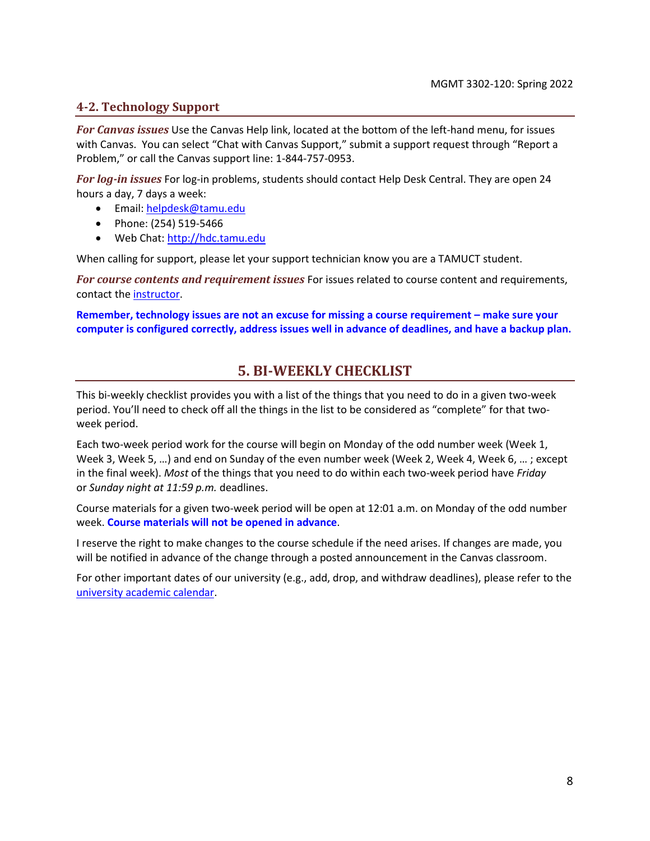### **4-2. Technology Support**

*For Canvas issues* Use the Canvas Help link, located at the bottom of the left-hand menu, for issues with Canvas. You can select "Chat with Canvas Support," submit a support request through "Report a Problem," or call the Canvas support line: 1-844-757-0953.

*For log-in issues* For log-in problems, students should contact Help Desk Central. They are open 24 hours a day, 7 days a week:

- Email: [helpdesk@tamu.edu](mailto:helpdesk@tamu.edu)
- Phone: (254) 519-5466
- Web Chat[: http://hdc.tamu.edu](http://hdc.tamu.edu/)

When calling for support, please let your support technician know you are a TAMUCT student.

*For course contents and requirement issues* For issues related to course content and requirements, contact th[e instructor.](#page-0-0)

<span id="page-7-0"></span>**Remember, technology issues are not an excuse for missing a course requirement – make sure your computer is configured correctly, address issues well in advance of deadlines, and have a backup plan.**

### **5. BI-WEEKLY CHECKLIST**

This bi-weekly checklist provides you with a list of the things that you need to do in a given two-week period. You'll need to check off all the things in the list to be considered as "complete" for that twoweek period.

Each two-week period work for the course will begin on Monday of the odd number week (Week 1, Week 3, Week 5, …) and end on Sunday of the even number week (Week 2, Week 4, Week 6, … ; except in the final week). *Most* of the things that you need to do within each two-week period have *Friday*  or *Sunday night at 11:59 p.m.* deadlines.

Course materials for a given two-week period will be open at 12:01 a.m. on Monday of the odd number week. **Course materials will not be opened in advance**.

I reserve the right to make changes to the course schedule if the need arises. If changes are made, you will be notified in advance of the change through a posted announcement in the Canvas classroom.

For other important dates of our university (e.g., add, drop, and withdraw deadlines), please refer to the [university academic calendar.](http://catalog.tamuct.edu/undergraduate_catalog/general-information/academic20calendars20and20final20exam20schedule/)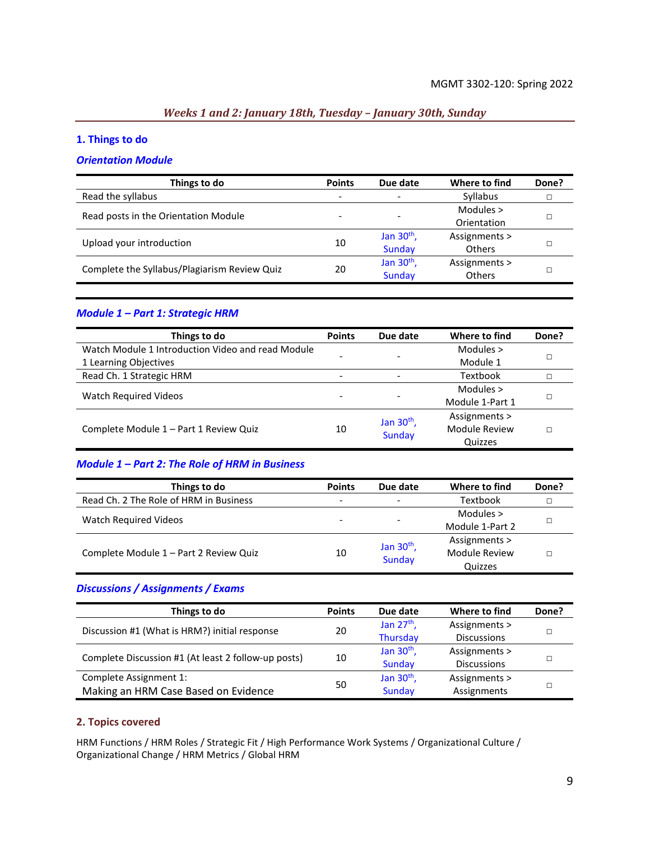### *Weeks 1 and 2: January 18th, Tuesday – January 30th, Sunday*

### **1. Things to do**

#### *Orientation Module*

| Things to do                                 | <b>Points</b>            | Due date                     | Where to find | Done? |
|----------------------------------------------|--------------------------|------------------------------|---------------|-------|
| Read the syllabus                            | $\overline{\phantom{a}}$ | $\qquad \qquad \blacksquare$ | Syllabus      |       |
| Read posts in the Orientation Module         |                          |                              | Modules $>$   |       |
|                                              |                          | $\overline{\phantom{0}}$     | Orientation   |       |
| Upload your introduction                     | 10                       | Jan $30th$ ,                 | Assignments > |       |
|                                              |                          | Sunday                       | <b>Others</b> |       |
| Complete the Syllabus/Plagiarism Review Quiz | 20                       | Jan $30th$ ,                 | Assignments > |       |
|                                              |                          | Sunday                       | <b>Others</b> |       |

### *Module 1 – Part 1: Strategic HRM*

| Things to do                                      | <b>Points</b>            | Due date                     | Where to find        | Done? |
|---------------------------------------------------|--------------------------|------------------------------|----------------------|-------|
| Watch Module 1 Introduction Video and read Module |                          |                              | Modules $>$          |       |
| 1 Learning Objectives                             |                          | -                            | Module 1             |       |
| Read Ch. 1 Strategic HRM                          | $\overline{\phantom{0}}$ | $\qquad \qquad \blacksquare$ | Textbook             |       |
| <b>Watch Required Videos</b>                      |                          |                              | Modules >            |       |
|                                                   |                          | ۰                            | Module 1-Part 1      |       |
|                                                   |                          | Jan 30 <sup>th</sup> ,       | Assignments >        |       |
| Complete Module 1 - Part 1 Review Quiz            | 10                       | Sunday                       | <b>Module Review</b> |       |
|                                                   |                          |                              | Quizzes              |       |

### *Module 1 – Part 2: The Role of HRM in Business*

| Things to do                           | <b>Points</b> | Due date                 | Where to find   | Done? |
|----------------------------------------|---------------|--------------------------|-----------------|-------|
| Read Ch. 2 The Role of HRM in Business |               | $\overline{\phantom{a}}$ | Textbook        |       |
|                                        |               |                          | Modules $>$     |       |
| Watch Required Videos                  |               | $\overline{\phantom{0}}$ | Module 1-Part 2 |       |
|                                        |               | Jan $30th$ ,             | Assignments >   |       |
| Complete Module 1 - Part 2 Review Quiz | 10            | <b>Sunday</b>            | Module Review   |       |
|                                        |               |                          | Quizzes         |       |

### *Discussions / Assignments / Exams*

| Things to do                                        | <b>Points</b> | Due date     | Where to find      | Done? |
|-----------------------------------------------------|---------------|--------------|--------------------|-------|
| Discussion #1 (What is HRM?) initial response       |               | Jan $27th$ , | Assignments >      |       |
|                                                     | 20            | Thursday     | <b>Discussions</b> |       |
| Complete Discussion #1 (At least 2 follow-up posts) | 10            | Jan $30th$ , | Assignments >      |       |
|                                                     |               | Sunday       | <b>Discussions</b> |       |
| Complete Assignment 1:                              |               | Jan $30th$ , | Assignments >      |       |
| Making an HRM Case Based on Evidence                | 50            | Sunday       | Assignments        |       |

### **2. Topics covered**

HRM Functions / HRM Roles / Strategic Fit / High Performance Work Systems / Organizational Culture / Organizational Change / HRM Metrics / Global HRM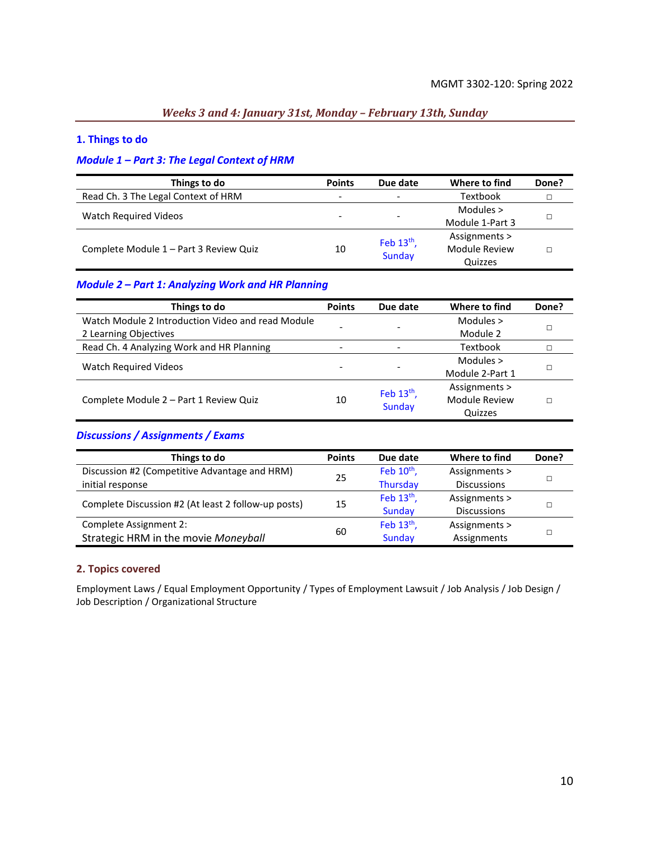### *Weeks 3 and 4: January 31st, Monday – February 13th, Sunday*

#### **1. Things to do**

### *Module 1 – Part 3: The Legal Context of HRM*

| Things to do                           | <b>Points</b> | Due date               | Where to find        | Done? |
|----------------------------------------|---------------|------------------------|----------------------|-------|
| Read Ch. 3 The Legal Context of HRM    | -             |                        | Textbook             |       |
|                                        |               |                        | Modules $>$          |       |
| Watch Required Videos                  |               |                        | Module 1-Part 3      |       |
| Complete Module 1 - Part 3 Review Quiz | 10            | Feb $13th$ ,<br>Sunday | Assignments >        |       |
|                                        |               |                        | <b>Module Review</b> |       |
|                                        |               |                        | Quizzes              |       |

### *Module 2 – Part 1: Analyzing Work and HR Planning*

| Things to do                                      | <b>Points</b> | Due date                 | Where to find        | Done? |
|---------------------------------------------------|---------------|--------------------------|----------------------|-------|
| Watch Module 2 Introduction Video and read Module |               |                          | Modules $>$          |       |
| 2 Learning Objectives                             |               |                          | Module 2             |       |
| Read Ch. 4 Analyzing Work and HR Planning         |               | $\overline{\phantom{0}}$ | Textbook             |       |
| <b>Watch Required Videos</b>                      |               |                          | Modules >            |       |
|                                                   |               |                          | Module 2-Part 1      |       |
|                                                   |               | Feb $13th$ ,             | Assignments >        |       |
| Complete Module 2 - Part 1 Review Quiz            | 10            | <b>Sunday</b>            | <b>Module Review</b> |       |
|                                                   |               |                          | Quizzes              |       |

### *Discussions / Assignments / Exams*

| Things to do                                        | <b>Points</b> | Due date               | Where to find      | Done? |
|-----------------------------------------------------|---------------|------------------------|--------------------|-------|
| Discussion #2 (Competitive Advantage and HRM)       | 25            | Feb $10^{th}$ ,        | Assignments >      |       |
| initial response                                    |               | <b>Thursday</b>        | <b>Discussions</b> |       |
| Complete Discussion #2 (At least 2 follow-up posts) | 15            | Feb 13 <sup>th</sup> , | Assignments >      |       |
|                                                     |               | Sunday                 | <b>Discussions</b> |       |
| Complete Assignment 2:                              |               | Feb 13 <sup>th</sup> , | Assignments >      |       |
| Strategic HRM in the movie Moneyball                | 60            | Sunday                 | Assignments        |       |

#### **2. Topics covered**

Employment Laws / Equal Employment Opportunity / Types of Employment Lawsuit / Job Analysis / Job Design / Job Description / Organizational Structure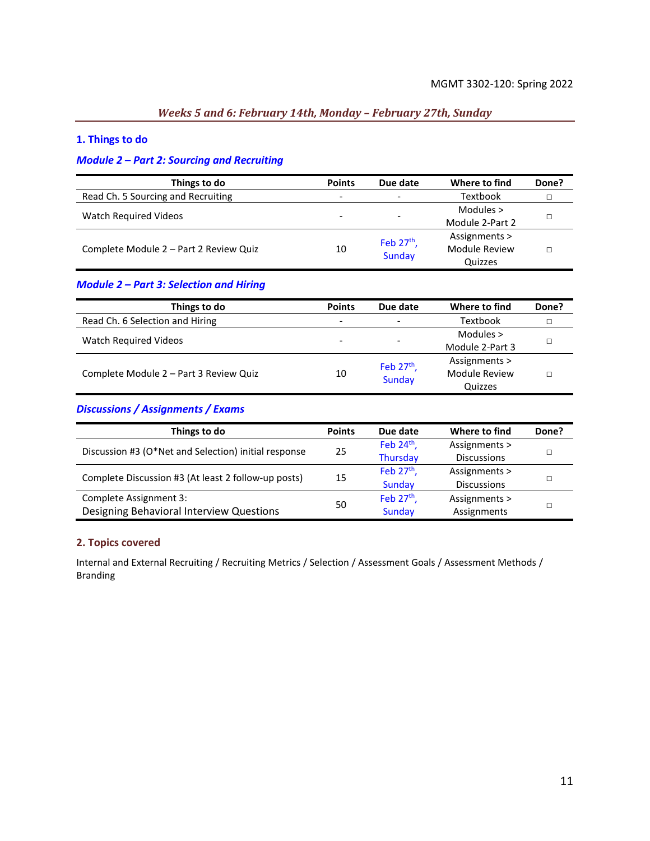### *Weeks 5 and 6: February 14th, Monday – February 27th, Sunday*

### **1. Things to do**

### *Module 2 – Part 2: Sourcing and Recruiting*

| Things to do                           | <b>Points</b> | Due date                 | Where to find   | Done? |
|----------------------------------------|---------------|--------------------------|-----------------|-------|
| Read Ch. 5 Sourcing and Recruiting     | -             | $\overline{\phantom{a}}$ | Textbook        |       |
|                                        |               |                          | Modules $>$     |       |
| Watch Required Videos                  |               | $\overline{\phantom{0}}$ | Module 2-Part 2 |       |
| Complete Module 2 - Part 2 Review Quiz | 10            | Feb $27th$ ,<br>Sunday   | Assignments >   |       |
|                                        |               |                          | Module Review   |       |
|                                        |               |                          | Quizzes         |       |

### *Module 2 – Part 3: Selection and Hiring*

| Things to do                           | <b>Points</b> | Due date                 | Where to find   | Done? |
|----------------------------------------|---------------|--------------------------|-----------------|-------|
| Read Ch. 6 Selection and Hiring        | -             | $\qquad \qquad -$        | Textbook        |       |
|                                        |               |                          | Modules $>$     |       |
| Watch Required Videos                  |               | $\overline{\phantom{0}}$ | Module 2-Part 3 |       |
| Complete Module 2 - Part 3 Review Quiz | 10            | Feb $27th$ ,             | Assignments >   |       |
|                                        |               | <b>Sunday</b>            | Module Review   |       |
|                                        |               |                          | Quizzes         |       |

### *Discussions / Assignments / Exams*

| Things to do                                         | <b>Points</b> | Due date        | Where to find      | Done? |
|------------------------------------------------------|---------------|-----------------|--------------------|-------|
| Discussion #3 (O*Net and Selection) initial response | 25            | Feb $24th$ ,    | Assignments >      |       |
|                                                      |               | <b>Thursday</b> | <b>Discussions</b> |       |
| Complete Discussion #3 (At least 2 follow-up posts)  | 15            | Feb $27th$ ,    | Assignments >      |       |
|                                                      |               | Sunday          | <b>Discussions</b> |       |
| Complete Assignment 3:                               |               | Feb $27th$ ,    | Assignments >      |       |
| Designing Behavioral Interview Questions             | 50            | Sunday          | Assignments        |       |

#### **2. Topics covered**

Internal and External Recruiting / Recruiting Metrics / Selection / Assessment Goals / Assessment Methods / Branding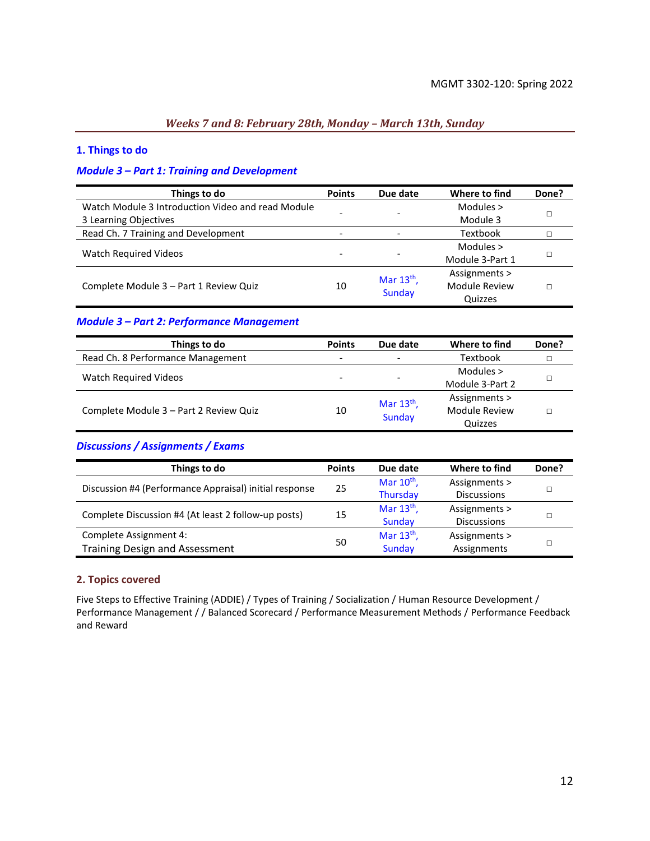### *Weeks 7 and 8: February 28th, Monday – March 13th, Sunday*

#### **1. Things to do**

#### *Module 3 – Part 1: Training and Development*

| Things to do                                      | <b>Points</b> | Due date      | Where to find        | Done? |
|---------------------------------------------------|---------------|---------------|----------------------|-------|
| Watch Module 3 Introduction Video and read Module |               |               | Modules $>$          |       |
| 3 Learning Objectives                             |               |               | Module 3             |       |
| Read Ch. 7 Training and Development               |               |               | Textbook             |       |
| <b>Watch Required Videos</b>                      |               |               | Modules >            |       |
|                                                   |               |               | Module 3-Part 1      |       |
|                                                   |               | Mar $13th$ ,  | Assignments >        |       |
| Complete Module 3 - Part 1 Review Quiz            | 10            | <b>Sunday</b> | <b>Module Review</b> |       |
|                                                   |               |               | Quizzes              |       |

#### *Module 3 – Part 2: Performance Management*

| Things to do                           | <b>Points</b> | Due date                 | Where to find   | Done? |
|----------------------------------------|---------------|--------------------------|-----------------|-------|
| Read Ch. 8 Performance Management      |               | $\overline{\phantom{a}}$ | <b>Textbook</b> |       |
|                                        |               |                          | Modules $>$     |       |
| <b>Watch Required Videos</b>           |               | $\overline{\phantom{0}}$ | Module 3-Part 2 |       |
|                                        |               | Mar $13th$ ,             | Assignments >   |       |
| Complete Module 3 - Part 2 Review Quiz | 10            | <b>Sunday</b>            | Module Review   |       |
|                                        |               |                          | Quizzes         |       |

### *Discussions / Assignments / Exams*

| Things to do                                           | <b>Points</b> | Due date        | Where to find      | Done? |
|--------------------------------------------------------|---------------|-----------------|--------------------|-------|
|                                                        |               | Mar $10^{th}$ , | Assignments >      |       |
| Discussion #4 (Performance Appraisal) initial response | 25            | <b>Thursday</b> | <b>Discussions</b> |       |
| Complete Discussion #4 (At least 2 follow-up posts)    |               | Mar $13th$ ,    | Assignments >      |       |
|                                                        | 15            | Sunday          | <b>Discussions</b> |       |
| Complete Assignment 4:                                 |               | Mar $13th$ ,    | Assignments >      |       |
| <b>Training Design and Assessment</b>                  | 50            | Sunday          | Assignments        |       |

#### **2. Topics covered**

Five Steps to Effective Training (ADDIE) / Types of Training / Socialization / Human Resource Development / Performance Management / / Balanced Scorecard / Performance Measurement Methods / Performance Feedback and Reward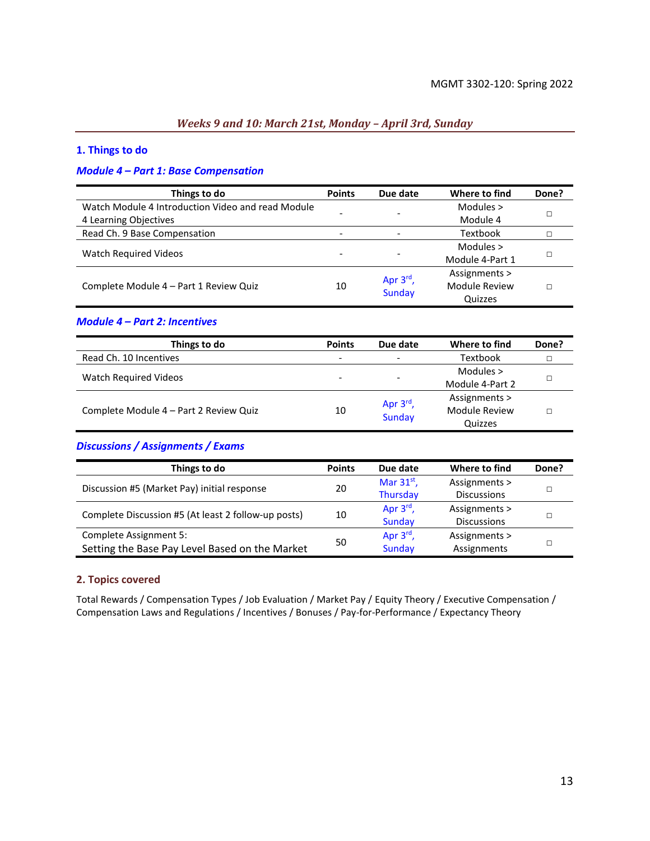### *Weeks 9 and 10: March 21st, Monday – April 3rd, Sunday*

#### **1. Things to do**

### *Module 4 – Part 1: Base Compensation*

| Things to do                                      | <b>Points</b> | Due date      | Where to find   | Done? |
|---------------------------------------------------|---------------|---------------|-----------------|-------|
| Watch Module 4 Introduction Video and read Module |               |               | Modules $>$     |       |
| 4 Learning Objectives                             |               |               | Module 4        |       |
| Read Ch. 9 Base Compensation                      |               |               | Textbook        |       |
| <b>Watch Required Videos</b>                      |               |               | Modules >       |       |
|                                                   |               |               | Module 4-Part 1 |       |
|                                                   |               | Apr $3rd$ ,   | Assignments >   |       |
| Complete Module 4 - Part 1 Review Quiz            | 10            | <b>Sunday</b> | Module Review   |       |
|                                                   |               |               | Quizzes         |       |

#### *Module 4 – Part 2: Incentives*

| Things to do                           | <b>Points</b>            | Due date                 | Where to find   | Done? |
|----------------------------------------|--------------------------|--------------------------|-----------------|-------|
| Read Ch. 10 Incentives                 | $\overline{\phantom{0}}$ | $\overline{\phantom{a}}$ | <b>Textbook</b> |       |
|                                        |                          |                          | Modules $>$     |       |
| <b>Watch Required Videos</b>           | $\overline{\phantom{0}}$ | $\overline{\phantom{0}}$ | Module 4-Part 2 |       |
|                                        |                          | Apr $3^{\text{rd}}$ ,    | Assignments >   |       |
| Complete Module 4 – Part 2 Review Quiz | 10                       | <b>Sunday</b>            | Module Review   |       |
|                                        |                          |                          | Quizzes         |       |

### *Discussions / Assignments / Exams*

| Things to do                                        | <b>Points</b> | Due date              | Where to find      | Done? |
|-----------------------------------------------------|---------------|-----------------------|--------------------|-------|
|                                                     |               | Mar $31^{st}$ ,       | Assignments >      |       |
| Discussion #5 (Market Pay) initial response         | 20            | <b>Thursday</b>       | <b>Discussions</b> |       |
| Complete Discussion #5 (At least 2 follow-up posts) |               | Apr $3^{\text{rd}}$ , | Assignments >      |       |
|                                                     | 10            | Sunday                | <b>Discussions</b> |       |
| Complete Assignment 5:                              |               | Apr $3^{\text{rd}}$ , | Assignments >      |       |
| Setting the Base Pay Level Based on the Market      | 50            | <b>Sunday</b>         | Assignments        |       |

#### **2. Topics covered**

Total Rewards / Compensation Types / Job Evaluation / Market Pay / Equity Theory / Executive Compensation / Compensation Laws and Regulations / Incentives / Bonuses / Pay-for-Performance / Expectancy Theory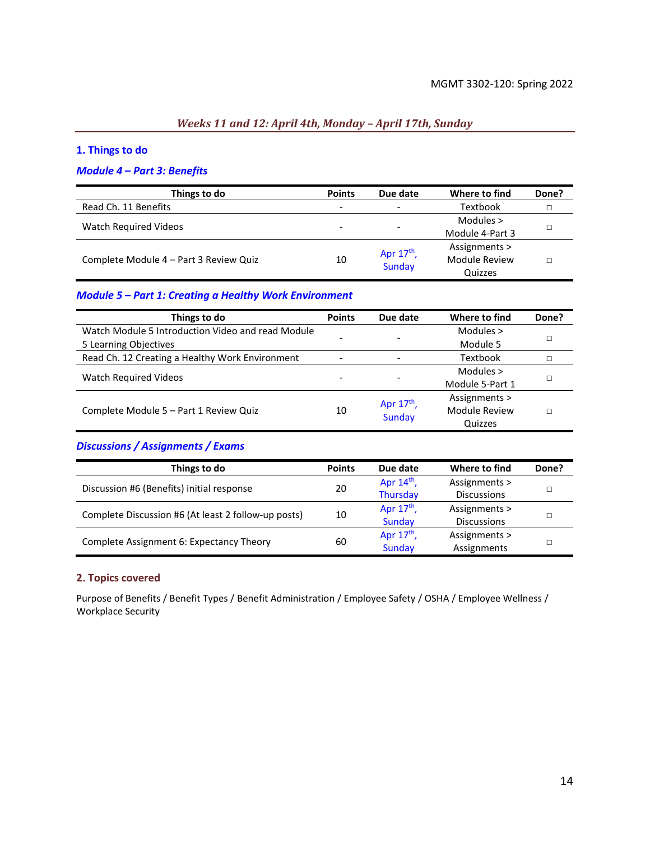### *Weeks 11 and 12: April 4th, Monday – April 17th, Sunday*

### **1. Things to do**

### *Module 4 – Part 3: Benefits*

| Things to do                           | <b>Points</b>            | Due date                     | Where to find   | Done? |
|----------------------------------------|--------------------------|------------------------------|-----------------|-------|
| Read Ch. 11 Benefits                   | $\overline{\phantom{0}}$ | $\qquad \qquad \blacksquare$ | <b>Textbook</b> |       |
|                                        |                          | ۰                            | Modules $>$     |       |
| Watch Required Videos                  |                          |                              | Module 4-Part 3 |       |
|                                        |                          | Apr $17th$ ,                 | Assignments >   |       |
| Complete Module 4 - Part 3 Review Quiz | 10                       | Sunday                       | Module Review   |       |
|                                        |                          |                              | Quizzes         |       |

#### *Module 5 – Part 1: Creating a Healthy Work Environment*

| Things to do                                      | <b>Points</b> | Due date                 | Where to find   | Done? |
|---------------------------------------------------|---------------|--------------------------|-----------------|-------|
| Watch Module 5 Introduction Video and read Module |               |                          | Modules $>$     |       |
| 5 Learning Objectives                             |               |                          | Module 5        |       |
| Read Ch. 12 Creating a Healthy Work Environment   |               |                          | Textbook        |       |
|                                                   |               |                          | Modules $>$     |       |
| Watch Required Videos                             |               | $\overline{\phantom{0}}$ | Module 5-Part 1 |       |
|                                                   |               | Apr $17th$ ,             | Assignments >   |       |
| Complete Module 5 - Part 1 Review Quiz            | 10            | <b>Sunday</b>            | Module Review   |       |
|                                                   |               |                          | Quizzes         |       |

### *Discussions / Assignments / Exams*

| Things to do                                        | <b>Points</b> | Due date     | Where to find      | Done? |
|-----------------------------------------------------|---------------|--------------|--------------------|-------|
| Discussion #6 (Benefits) initial response           | 20            | Apr $14th$ , | Assignments >      |       |
|                                                     |               | Thursday     | <b>Discussions</b> |       |
| Complete Discussion #6 (At least 2 follow-up posts) | 10            | Apr $17th$ , | Assignments >      |       |
|                                                     |               | Sunday       | <b>Discussions</b> |       |
| Complete Assignment 6: Expectancy Theory            | 60            | Apr $17th$ , | Assignments >      |       |
|                                                     |               | Sunday       | Assignments        |       |

### **2. Topics covered**

Purpose of Benefits / Benefit Types / Benefit Administration / Employee Safety / OSHA / Employee Wellness / Workplace Security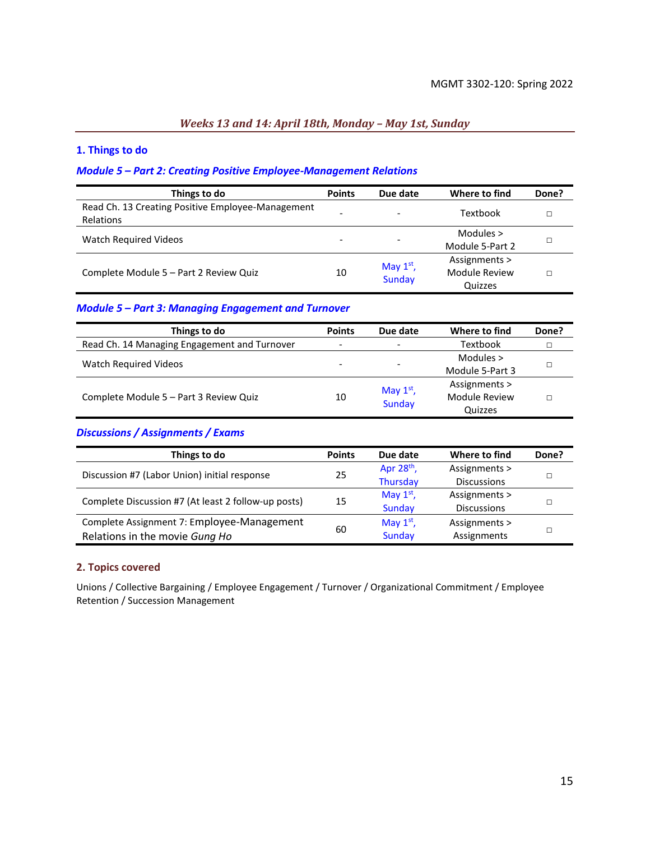### *Weeks 13 and 14: April 18th, Monday – May 1st, Sunday*

### **1. Things to do**

#### *Module 5 – Part 2: Creating Positive Employee-Management Relations*

| Things to do                                                   | <b>Points</b> | Due date                     | Where to find                             | Done? |
|----------------------------------------------------------------|---------------|------------------------------|-------------------------------------------|-------|
| Read Ch. 13 Creating Positive Employee-Management<br>Relations | -             | $\overline{\phantom{a}}$     | Textbook                                  |       |
| <b>Watch Required Videos</b>                                   | -             | $\overline{\phantom{a}}$     | Modules $>$<br>Module 5-Part 2            |       |
| Complete Module 5 - Part 2 Review Quiz                         | 10            | May $1st$ ,<br><b>Sunday</b> | Assignments ><br>Module Review<br>Quizzes |       |

### *Module 5 – Part 3: Managing Engagement and Turnover*

| Things to do                                 | <b>Points</b>            | Due date                 | Where to find        | Done? |
|----------------------------------------------|--------------------------|--------------------------|----------------------|-------|
| Read Ch. 14 Managing Engagement and Turnover | $\overline{\phantom{a}}$ | $\qquad \qquad -$        | Textbook             |       |
|                                              |                          |                          | Modules $>$          |       |
| Watch Required Videos                        | -                        | $\overline{\phantom{0}}$ | Module 5-Part 3      |       |
|                                              |                          | May $1st$ ,              | Assignments >        |       |
| Complete Module 5 - Part 3 Review Quiz       | 10                       | Sunday                   | <b>Module Review</b> |       |
|                                              |                          |                          | Quizzes              |       |

### *Discussions / Assignments / Exams*

| Things to do                                        | <b>Points</b> | Due date        | Where to find      | Done? |
|-----------------------------------------------------|---------------|-----------------|--------------------|-------|
| Discussion #7 (Labor Union) initial response        |               | Apr $28th$ ,    | Assignments >      |       |
|                                                     | 25            | <b>Thursday</b> | <b>Discussions</b> |       |
| Complete Discussion #7 (At least 2 follow-up posts) | 15            | May $1st$ ,     | Assignments >      |       |
|                                                     |               | Sunday          | <b>Discussions</b> |       |
| Complete Assignment 7: Employee-Management          |               | May $1st$ ,     | Assignments >      |       |
| Relations in the movie Gung Ho                      | 60            | Sunday          | Assignments        |       |

#### **2. Topics covered**

Unions / Collective Bargaining / Employee Engagement / Turnover / Organizational Commitment / Employee Retention / Succession Management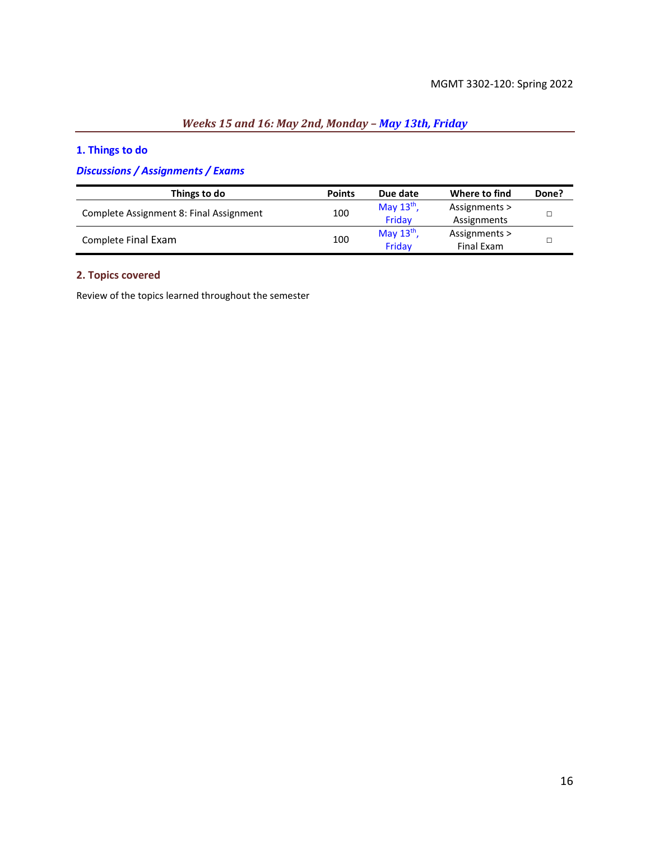# *Weeks 15 and 16: May 2nd, Monday – May 13th, Friday*

### **1. Things to do**

### *Discussions / Assignments / Exams*

| Things to do                            | <b>Points</b> | Due date     | Where to find | Done? |
|-----------------------------------------|---------------|--------------|---------------|-------|
| Complete Assignment 8: Final Assignment | 100           | May $13th$ , | Assignments > |       |
|                                         |               | Fridav       | Assignments   |       |
| Complete Final Exam                     | 100           | May $13th$ , | Assignments > |       |
|                                         |               | Friday       | Final Exam    |       |

### **2. Topics covered**

Review of the topics learned throughout the semester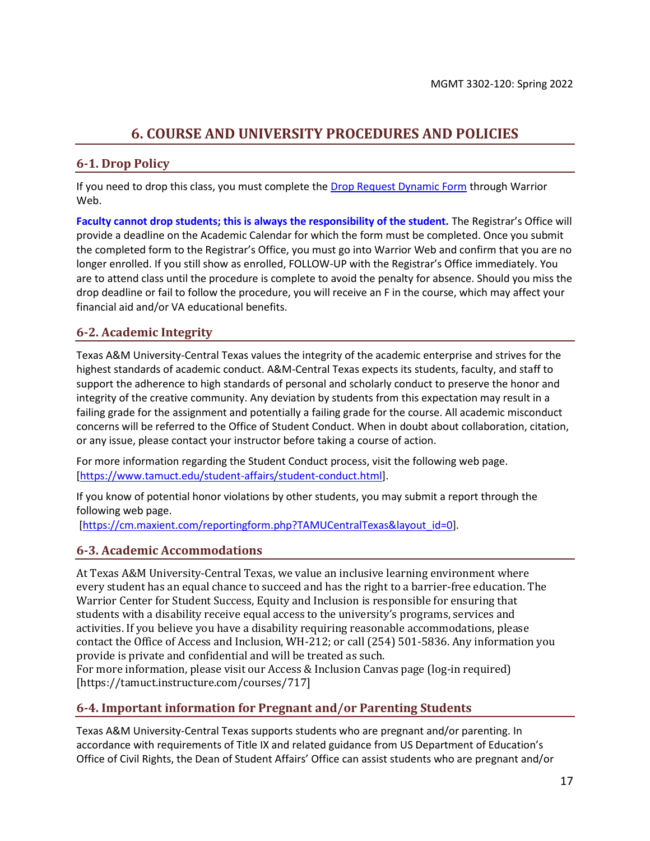# **6. COURSE AND UNIVERSITY PROCEDURES AND POLICIES**

### <span id="page-16-0"></span>**6-1. Drop Policy**

If you need to drop this class, you must complete th[e Drop Request Dynamic Form](https://dynamicforms.ngwebsolutions.com/casAuthentication.ashx?InstID=eaed95b9-f2be-45f3-a37d-46928168bc10&targetUrl=https%3A%2F%2Fdynamicforms.ngwebsolutions.com%2FSubmit%2FForm%2FStart%2F53b8369e-0502-4f36-be43-f02a4202f612) through Warrior Web.

**Faculty cannot drop students; this is always the responsibility of the student.** The Registrar's Office will provide a deadline on the Academic Calendar for which the form must be completed. Once you submit the completed form to the Registrar's Office, you must go into Warrior Web and confirm that you are no longer enrolled. If you still show as enrolled, FOLLOW-UP with the Registrar's Office immediately. You are to attend class until the procedure is complete to avoid the penalty for absence. Should you miss the drop deadline or fail to follow the procedure, you will receive an F in the course, which may affect your financial aid and/or VA educational benefits.

### **6-2. Academic Integrity**

Texas A&M University-Central Texas values the integrity of the academic enterprise and strives for the highest standards of academic conduct. A&M-Central Texas expects its students, faculty, and staff to support the adherence to high standards of personal and scholarly conduct to preserve the honor and integrity of the creative community. Any deviation by students from this expectation may result in a failing grade for the assignment and potentially a failing grade for the course. All academic misconduct concerns will be referred to the Office of Student Conduct. When in doubt about collaboration, citation, or any issue, please contact your instructor before taking a course of action.

For more information regarding the Student Conduct process, visit the following web page. [\[https://www.tamuct.edu/student-affairs/student-conduct.html\]](https://www.tamuct.edu/student-affairs/student-conduct.html).

If you know of potential honor violations by other students, you may submit a report through the following web page.

[\[https://cm.maxient.com/reportingform.php?TAMUCentralTexas&layout\\_id=0\]](https://cm.maxient.com/reportingform.php?TAMUCentralTexas&layout_id=0).

### **6-3. Academic Accommodations**

At Texas A&M University-Central Texas, we value an inclusive learning environment where every student has an equal chance to succeed and has the right to a barrier-free education. The Warrior Center for Student Success, Equity and Inclusion is responsible for ensuring that students with a disability receive equal access to the university's programs, services and activities. If you believe you have a disability requiring reasonable accommodations, please contact the Office of Access and Inclusion, WH-212; or call (254) 501-5836. Any information you provide is private and confidential and will be treated as such.

For more information, please visit our Access & Inclusion Canvas page (log-in required) [https://tamuct.instructure.com/courses/717]

### **6-4. Important information for Pregnant and/or Parenting Students**

Texas A&M University-Central Texas supports students who are pregnant and/or parenting. In accordance with requirements of Title IX and related guidance from US Department of Education's Office of Civil Rights, the Dean of Student Affairs' Office can assist students who are pregnant and/or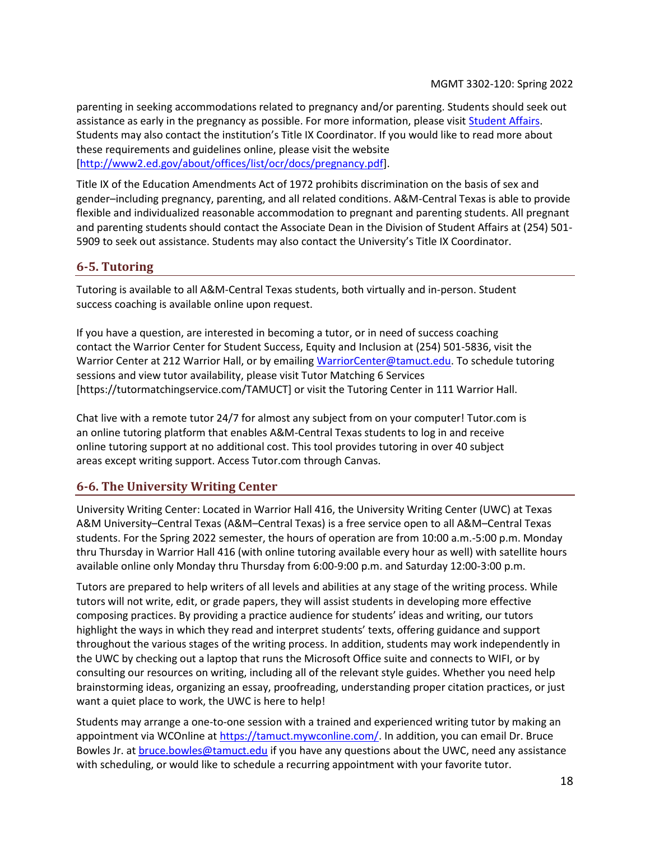parenting in seeking accommodations related to pregnancy and/or parenting. Students should seek out assistance as early in the pregnancy as possible. For more information, please visit **Student Affairs**. Students may also contact the institution's Title IX Coordinator. If you would like to read more about these requirements and guidelines online, please visit the website [\[http://www2.ed.gov/about/offices/list/ocr/docs/pregnancy.pdf\]](http://www2.ed.gov/about/offices/list/ocr/docs/pregnancy.pdf).

Title IX of the Education Amendments Act of 1972 prohibits discrimination on the basis of sex and gender–including pregnancy, parenting, and all related conditions. A&M-Central Texas is able to provide flexible and individualized reasonable accommodation to pregnant and parenting students. All pregnant and parenting students should contact the Associate Dean in the Division of Student Affairs at (254) 501- 5909 to seek out assistance. Students may also contact the University's Title IX Coordinator.

### **6-5. Tutoring**

Tutoring is available to all A&M-Central Texas students, both virtually and in-person. Student success coaching is available online upon request.

If you have a question, are interested in becoming a tutor, or in need of success coaching contact the Warrior Center for Student Success, Equity and Inclusion at (254) 501-5836, visit the Warrior Center at 212 Warrior Hall, or by emailing [WarriorCenter@tamuct.edu.](mailto:WarriorCenter@tamuct.edu) To schedule tutoring sessions and view tutor availability, please visit Tutor Matching 6 Services [https://tutormatchingservice.com/TAMUCT] or visit the Tutoring Center in 111 Warrior Hall.

Chat live with a remote tutor 24/7 for almost any subject from on your computer! Tutor.com is an online tutoring platform that enables A&M-Central Texas students to log in and receive online tutoring support at no additional cost. This tool provides tutoring in over 40 subject areas except writing support. Access Tutor.com through Canvas.

### **6-6. The University Writing Center**

University Writing Center: Located in Warrior Hall 416, the University Writing Center (UWC) at Texas A&M University–Central Texas (A&M–Central Texas) is a free service open to all A&M–Central Texas students. For the Spring 2022 semester, the hours of operation are from 10:00 a.m.-5:00 p.m. Monday thru Thursday in Warrior Hall 416 (with online tutoring available every hour as well) with satellite hours available online only Monday thru Thursday from 6:00-9:00 p.m. and Saturday 12:00-3:00 p.m.

Tutors are prepared to help writers of all levels and abilities at any stage of the writing process. While tutors will not write, edit, or grade papers, they will assist students in developing more effective composing practices. By providing a practice audience for students' ideas and writing, our tutors highlight the ways in which they read and interpret students' texts, offering guidance and support throughout the various stages of the writing process. In addition, students may work independently in the UWC by checking out a laptop that runs the Microsoft Office suite and connects to WIFI, or by consulting our resources on writing, including all of the relevant style guides. Whether you need help brainstorming ideas, organizing an essay, proofreading, understanding proper citation practices, or just want a quiet place to work, the UWC is here to help!

Students may arrange a one-to-one session with a trained and experienced writing tutor by making an appointment via WCOnline at [https://tamuct.mywconline.com/.](https://tamuct.mywconline.com/) In addition, you can email Dr. Bruce Bowles Jr. at **bruce.bowles@tamuct.edu** if you have any questions about the UWC, need any assistance with scheduling, or would like to schedule a recurring appointment with your favorite tutor.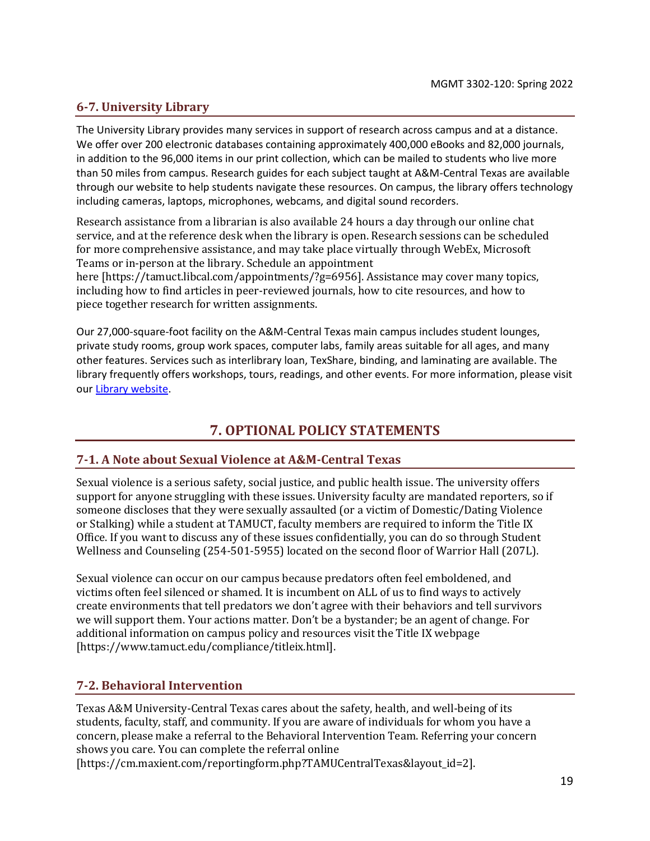### **6-7. University Library**

The University Library provides many services in support of research across campus and at a distance. We offer over 200 electronic databases containing approximately 400,000 eBooks and 82,000 journals, in addition to the 96,000 items in our print collection, which can be mailed to students who live more than 50 miles from campus. Research guides for each subject taught at A&M-Central Texas are available through our website to help students navigate these resources. On campus, the library offers technology including cameras, laptops, microphones, webcams, and digital sound recorders.

Research assistance from a librarian is also available 24 hours a day through our online chat service, and at the reference desk when the library is open. Research sessions can be scheduled for more comprehensive assistance, and may take place virtually through WebEx, Microsoft Teams or in-person at the library. Schedule an appointment

here [https://tamuct.libcal.com/appointments/?g=6956]. Assistance may cover many topics, including how to find articles in peer-reviewed journals, how to cite resources, and how to piece together research for written assignments.

Our 27,000-square-foot facility on the A&M-Central Texas main campus includes student lounges, private study rooms, group work spaces, computer labs, family areas suitable for all ages, and many other features. Services such as interlibrary loan, TexShare, binding, and laminating are available. The library frequently offers workshops, tours, readings, and other events. For more information, please visit our [Library website.](http://tamuct.libguides.com/index)

## **7. OPTIONAL POLICY STATEMENTS**

### **7-1. A Note about Sexual Violence at A&M-Central Texas**

Sexual violence is a serious safety, social justice, and public health issue. The university offers support for anyone struggling with these issues. University faculty are mandated reporters, so if someone discloses that they were sexually assaulted (or a victim of Domestic/Dating Violence or Stalking) while a student at TAMUCT, faculty members are required to inform the Title IX Office. If you want to discuss any of these issues confidentially, you can do so through Student Wellness and Counseling (254-501-5955) located on the second floor of Warrior Hall (207L).

Sexual violence can occur on our campus because predators often feel emboldened, and victims often feel silenced or shamed. It is incumbent on ALL of us to find ways to actively create environments that tell predators we don't agree with their behaviors and tell survivors we will support them. Your actions matter. Don't be a bystander; be an agent of change. For additional information on campus policy and resources visit the Title IX webpage [https://www.tamuct.edu/compliance/titleix.html].

### **7-2. Behavioral Intervention**

Texas A&M University-Central Texas cares about the safety, health, and well-being of its students, faculty, staff, and community. If you are aware of individuals for whom you have a concern, please make a referral to the Behavioral Intervention Team. Referring your concern shows you care. You can complete the referral online

[https://cm.maxient.com/reportingform.php?TAMUCentralTexas&layout\_id=2].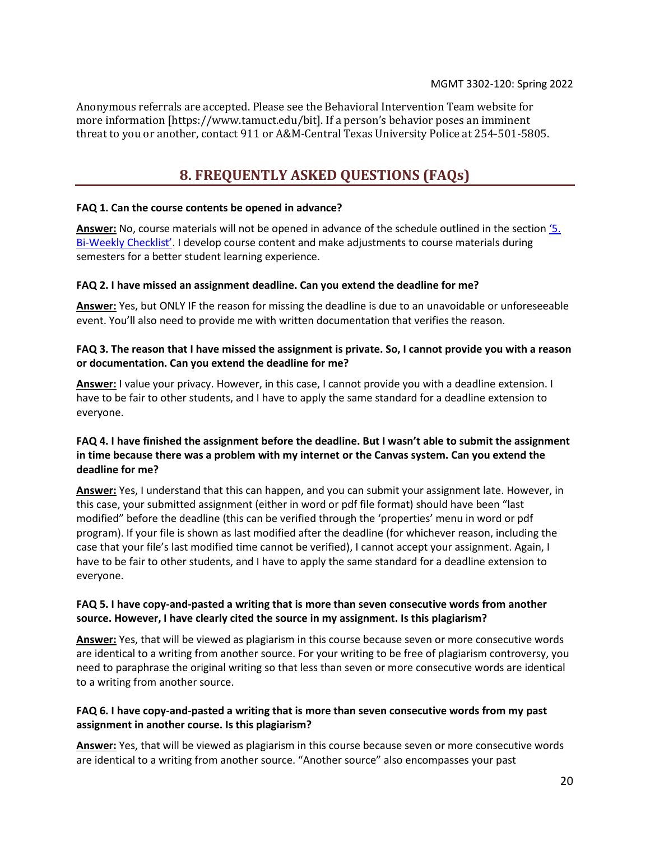<span id="page-19-0"></span>Anonymous referrals are accepted. Please see the Behavioral Intervention Team website for more information [https://www.tamuct.edu/bit]. If a person's behavior poses an imminent threat to you or another, contact 911 or A&M-Central Texas University Police at 254-501-5805.

## **8. FREQUENTLY ASKED QUESTIONS (FAQs)**

#### **FAQ 1. Can the course contents be opened in advance?**

**Answer:** No, course materials will not be opened in advance of the schedule outlined in the section ['5](#page-7-0). Bi-[Weekly Checklist'](#page-7-0). I develop course content and make adjustments to course materials during semesters for a better student learning experience.

#### **FAQ 2. I have missed an assignment deadline. Can you extend the deadline for me?**

**Answer:** Yes, but ONLY IF the reason for missing the deadline is due to an unavoidable or unforeseeable event. You'll also need to provide me with written documentation that verifies the reason.

### **FAQ 3. The reason that I have missed the assignment is private. So, I cannot provide you with a reason or documentation. Can you extend the deadline for me?**

**Answer:** I value your privacy. However, in this case, I cannot provide you with a deadline extension. I have to be fair to other students, and I have to apply the same standard for a deadline extension to everyone.

### **FAQ 4. I have finished the assignment before the deadline. But I wasn't able to submit the assignment in time because there was a problem with my internet or the Canvas system. Can you extend the deadline for me?**

**Answer:** Yes, I understand that this can happen, and you can submit your assignment late. However, in this case, your submitted assignment (either in word or pdf file format) should have been "last modified" before the deadline (this can be verified through the 'properties' menu in word or pdf program). If your file is shown as last modified after the deadline (for whichever reason, including the case that your file's last modified time cannot be verified), I cannot accept your assignment. Again, I have to be fair to other students, and I have to apply the same standard for a deadline extension to everyone.

### **FAQ 5. I have copy-and-pasted a writing that is more than seven consecutive words from another source. However, I have clearly cited the source in my assignment. Is this plagiarism?**

**Answer:** Yes, that will be viewed as plagiarism in this course because seven or more consecutive words are identical to a writing from another source. For your writing to be free of plagiarism controversy, you need to paraphrase the original writing so that less than seven or more consecutive words are identical to a writing from another source.

### **FAQ 6. I have copy-and-pasted a writing that is more than seven consecutive words from my past assignment in another course. Is this plagiarism?**

**Answer:** Yes, that will be viewed as plagiarism in this course because seven or more consecutive words are identical to a writing from another source. "Another source" also encompasses your past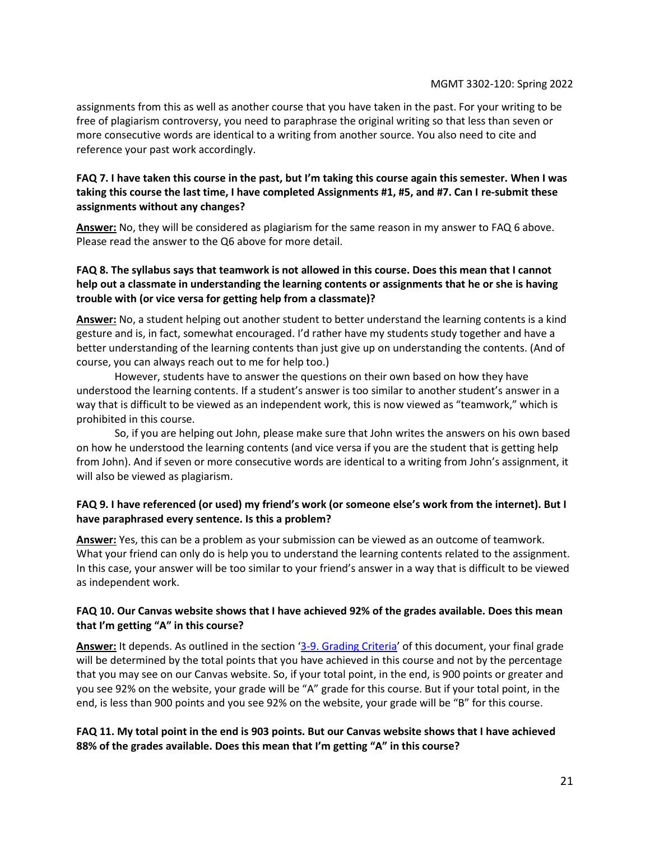assignments from this as well as another course that you have taken in the past. For your writing to be free of plagiarism controversy, you need to paraphrase the original writing so that less than seven or more consecutive words are identical to a writing from another source. You also need to cite and reference your past work accordingly.

### **FAQ 7. I have taken this course in the past, but I'm taking this course again this semester. When I was taking this course the last time, I have completed Assignments #1, #5, and #7. Can I re-submit these assignments without any changes?**

**Answer:** No, they will be considered as plagiarism for the same reason in my answer to FAQ 6 above. Please read the answer to the Q6 above for more detail.

### **FAQ 8. The syllabus says that teamwork is not allowed in this course. Does this mean that I cannot help out a classmate in understanding the learning contents or assignments that he or she is having trouble with (or vice versa for getting help from a classmate)?**

**Answer:** No, a student helping out another student to better understand the learning contents is a kind gesture and is, in fact, somewhat encouraged. I'd rather have my students study together and have a better understanding of the learning contents than just give up on understanding the contents. (And of course, you can always reach out to me for help too.)

However, students have to answer the questions on their own based on how they have understood the learning contents. If a student's answer is too similar to another student's answer in a way that is difficult to be viewed as an independent work, this is now viewed as "teamwork," which is prohibited in this course.

So, if you are helping out John, please make sure that John writes the answers on his own based on how he understood the learning contents (and vice versa if you are the student that is getting help from John). And if seven or more consecutive words are identical to a writing from John's assignment, it will also be viewed as plagiarism.

### **FAQ 9. I have referenced (or used) my friend's work (or someone else's work from the internet). But I have paraphrased every sentence. Is this a problem?**

**Answer:** Yes, this can be a problem as your submission can be viewed as an outcome of teamwork. What your friend can only do is help you to understand the learning contents related to the assignment. In this case, your answer will be too similar to your friend's answer in a way that is difficult to be viewed as independent work.

### **FAQ 10. Our Canvas website shows that I have achieved 92% of the grades available. Does this mean that I'm getting "A" in this course?**

**Answer:** It depends. As outlined in the section '[3-9. Grading Criteria](#page-6-2)' of this document, your final grade will be determined by the total points that you have achieved in this course and not by the percentage that you may see on our Canvas website. So, if your total point, in the end, is 900 points or greater and you see 92% on the website, your grade will be "A" grade for this course. But if your total point, in the end, is less than 900 points and you see 92% on the website, your grade will be "B" for this course.

### **FAQ 11. My total point in the end is 903 points. But our Canvas website shows that I have achieved 88% of the grades available. Does this mean that I'm getting "A" in this course?**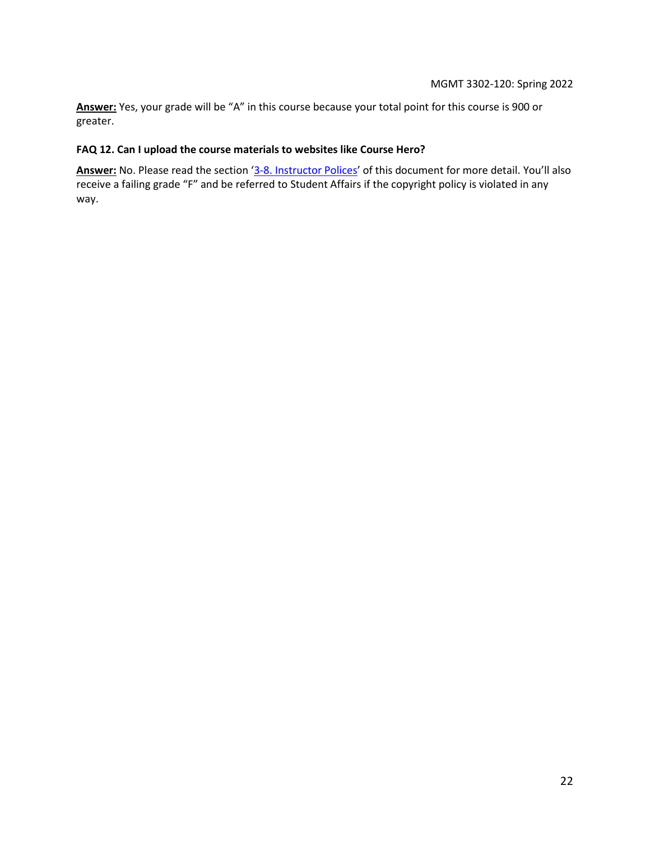**Answer:** Yes, your grade will be "A" in this course because your total point for this course is 900 or greater.

### **FAQ 12. Can I upload the course materials to websites like Course Hero?**

<span id="page-21-0"></span>**Answer:** No. Please read the section '[3-8. Instructor Polices](#page-5-0)' of this document for more detail. You'll also receive a failing grade "F" and be referred to Student Affairs if the copyright policy is violated in any way.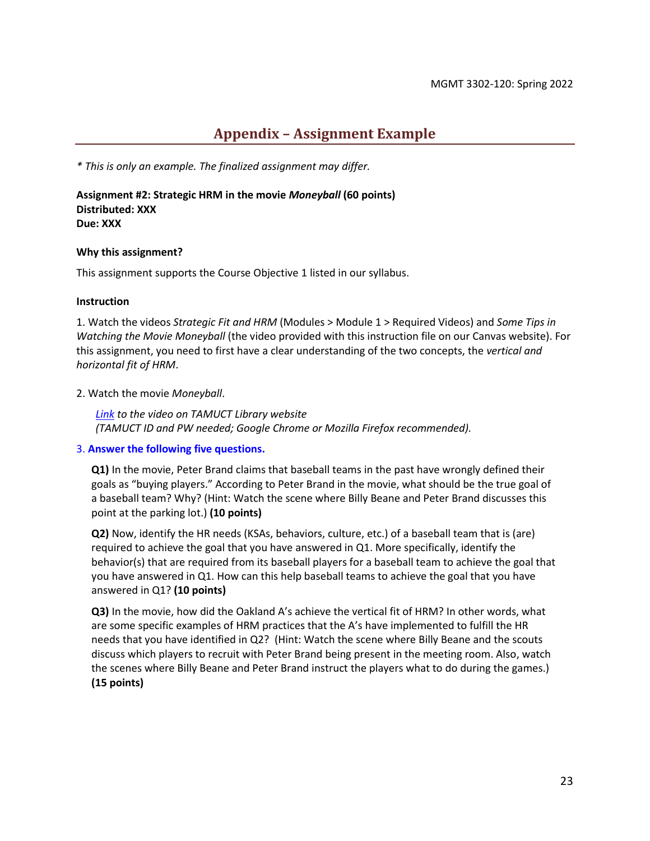### **Appendix – Assignment Example**

*\* This is only an example. The finalized assignment may differ.*

**Assignment #2: Strategic HRM in the movie** *Moneyball* **(60 points) Distributed: XXX Due: XXX**

#### **Why this assignment?**

This assignment supports the Course Objective 1 listed in our syllabus.

#### **Instruction**

1. Watch the videos *Strategic Fit and HRM* (Modules > Module 1 > Required Videos) and *Some Tips in Watching the Movie Moneyball* (the video provided with this instruction file on our Canvas website). For this assignment, you need to first have a clear understanding of the two concepts, the *vertical and horizontal fit of HRM*.

#### 2. Watch the movie *Moneyball*.

*Link to the video on TAMUCT Library website (TAMUCT ID and PW needed; Google Chrome or Mozilla Firefox recommended).*

### 3. **Answer the following five questions.**

**Q1)** In the movie, Peter Brand claims that baseball teams in the past have wrongly defined their goals as "buying players." According to Peter Brand in the movie, what should be the true goal of a baseball team? Why? (Hint: Watch the scene where Billy Beane and Peter Brand discusses this point at the parking lot.) **(10 points)**

**Q2)** Now, identify the HR needs (KSAs, behaviors, culture, etc.) of a baseball team that is (are) required to achieve the goal that you have answered in Q1. More specifically, identify the behavior(s) that are required from its baseball players for a baseball team to achieve the goal that you have answered in Q1. How can this help baseball teams to achieve the goal that you have answered in Q1? **(10 points)**

**Q3)** In the movie, how did the Oakland A's achieve the vertical fit of HRM? In other words, what are some specific examples of HRM practices that the A's have implemented to fulfill the HR needs that you have identified in Q2? (Hint: Watch the scene where Billy Beane and the scouts discuss which players to recruit with Peter Brand being present in the meeting room. Also, watch the scenes where Billy Beane and Peter Brand instruct the players what to do during the games.) **(15 points)**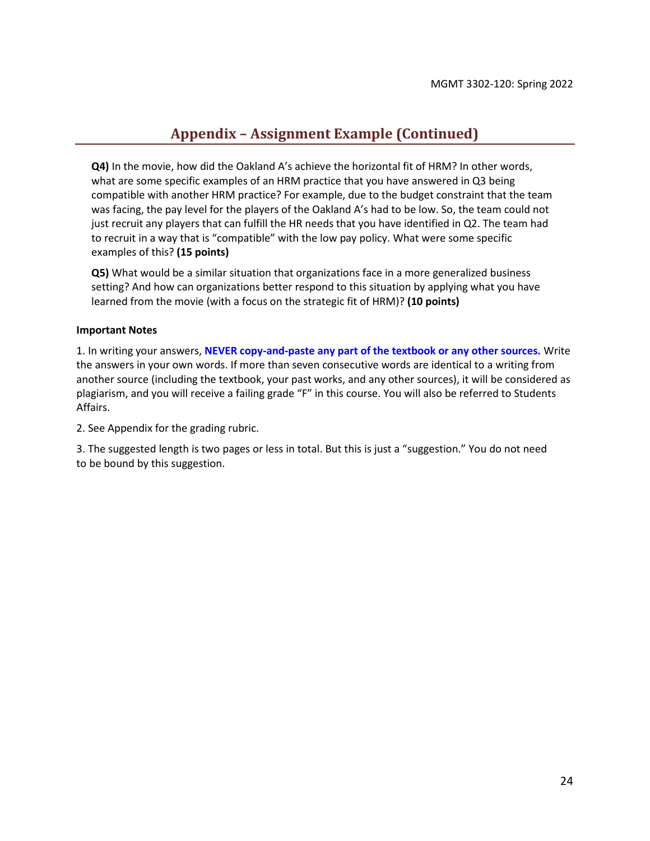## **Appendix – Assignment Example (Continued)**

**Q4)** In the movie, how did the Oakland A's achieve the horizontal fit of HRM? In other words, what are some specific examples of an HRM practice that you have answered in Q3 being compatible with another HRM practice? For example, due to the budget constraint that the team was facing, the pay level for the players of the Oakland A's had to be low. So, the team could not just recruit any players that can fulfill the HR needs that you have identified in Q2. The team had to recruit in a way that is "compatible" with the low pay policy. What were some specific examples of this? **(15 points)**

**Q5)** What would be a similar situation that organizations face in a more generalized business setting? And how can organizations better respond to this situation by applying what you have learned from the movie (with a focus on the strategic fit of HRM)? **(10 points)**

#### **Important Notes**

1. In writing your answers, **NEVER copy-and-paste any part of the textbook or any other sources.** Write the answers in your own words. If more than seven consecutive words are identical to a writing from another source (including the textbook, your past works, and any other sources), it will be considered as plagiarism, and you will receive a failing grade "F" in this course. You will also be referred to Students Affairs.

2. See Appendix for the grading rubric.

3. The suggested length is two pages or less in total. But this is just a "suggestion." You do not need to be bound by this suggestion.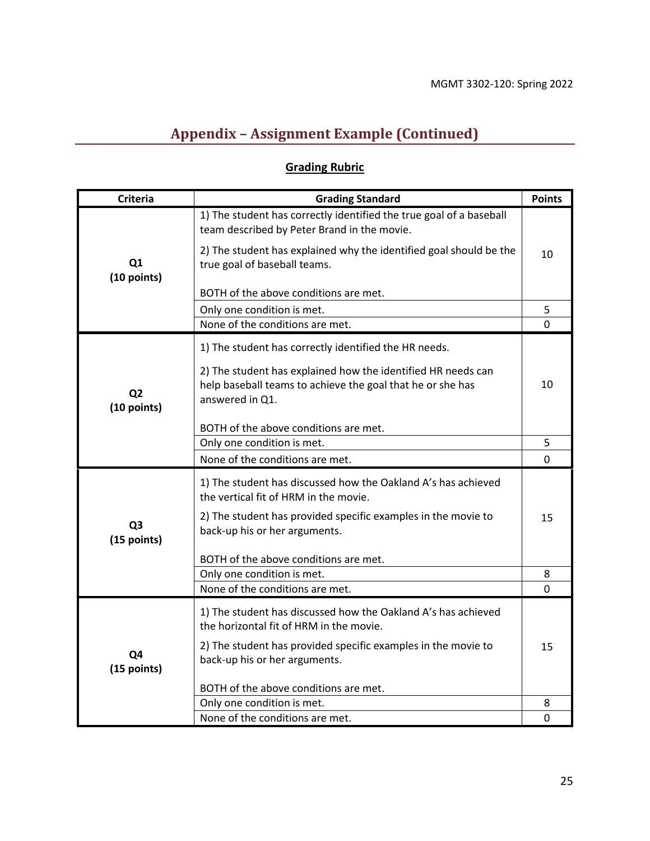# **Appendix – Assignment Example (Continued)**

# **Grading Rubric**

| <b>Criteria</b>               | <b>Grading Standard</b>                                                                                                                       | <b>Points</b> |
|-------------------------------|-----------------------------------------------------------------------------------------------------------------------------------------------|---------------|
| Q1<br>(10 points)             | 1) The student has correctly identified the true goal of a baseball<br>team described by Peter Brand in the movie.                            |               |
|                               | 2) The student has explained why the identified goal should be the<br>true goal of baseball teams.                                            | 10            |
|                               | BOTH of the above conditions are met.                                                                                                         |               |
|                               | Only one condition is met.                                                                                                                    | 5             |
|                               | None of the conditions are met.                                                                                                               | 0             |
| Q <sub>2</sub><br>(10 points) | 1) The student has correctly identified the HR needs.                                                                                         |               |
|                               | 2) The student has explained how the identified HR needs can<br>help baseball teams to achieve the goal that he or she has<br>answered in Q1. | 10            |
|                               | BOTH of the above conditions are met.                                                                                                         |               |
|                               | Only one condition is met.                                                                                                                    | 5             |
|                               | None of the conditions are met.                                                                                                               | 0             |
| Q <sub>3</sub><br>(15 points) | 1) The student has discussed how the Oakland A's has achieved<br>the vertical fit of HRM in the movie.                                        |               |
|                               | 2) The student has provided specific examples in the movie to<br>back-up his or her arguments.                                                | 15            |
|                               | BOTH of the above conditions are met.                                                                                                         |               |
|                               | Only one condition is met.                                                                                                                    | 8             |
|                               | None of the conditions are met.                                                                                                               | 0             |
| Q4<br>(15 points)             | 1) The student has discussed how the Oakland A's has achieved<br>the horizontal fit of HRM in the movie.                                      |               |
|                               | 2) The student has provided specific examples in the movie to<br>back-up his or her arguments.                                                | 15            |
|                               | BOTH of the above conditions are met.                                                                                                         |               |
|                               | Only one condition is met.                                                                                                                    | 8             |
|                               | None of the conditions are met.                                                                                                               | 0             |